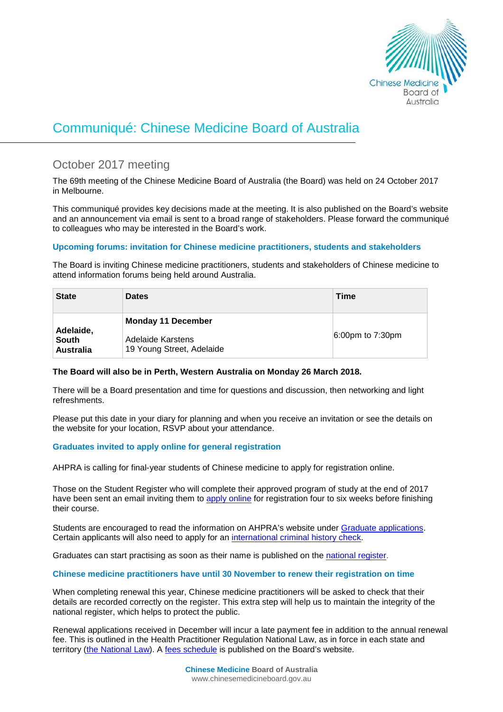

# Communiqué: Chinese Medicine Board of Australia

# October 2017 meeting

The 69th meeting of the Chinese Medicine Board of Australia (the Board) was held on 24 October 2017 in Melbourne.

This communiqué provides key decisions made at the meeting. It is also published on the Board's [website](http://www.chinesemedicineboard.gov.au/) and an announcement via email is sent to a broad range of stakeholders. Please forward the communiqué to colleagues who may be interested in the Board's work.

# **Upcoming forums: invitation for Chinese medicine practitioners, students and stakeholders**

The Board is inviting Chinese medicine practitioners, students and stakeholders of Chinese medicine to attend information forums being held around Australia.

| <b>State</b>                                  | <b>Dates</b>                                                                | Time                |
|-----------------------------------------------|-----------------------------------------------------------------------------|---------------------|
| Adelaide,<br><b>South</b><br><b>Australia</b> | <b>Monday 11 December</b><br>Adelaide Karstens<br>19 Young Street, Adelaide | $6:00$ pm to 7:30pm |

# **The Board will also be in Perth, Western Australia on Monday 26 March 2018.**

There will be a Board presentation and time for questions and discussion, then networking and light refreshments.

Please put this date in your diary for planning and when you receive an invitation or see the details on the website for your location, RSVP about your attendance.

# **Graduates invited to apply online for general registration**

AHPRA is calling for final-year students of Chinese medicine to apply for registration online.

Those on the Student Register who will complete their approved program of study at the end of 2017 have been sent an email inviting them to [apply online](http://www.ahpra.gov.au/Registration/Graduate-Applications/Apply-Online.aspx) for registration four to six weeks before finishing their course.

Students are encouraged to read the information on AHPRA's website under [Graduate applications.](http://www.ahpra.gov.au/Registration/Graduate-Applications.aspx) Certain applicants will also need to apply for an [international criminal history check.](http://www.ahpra.gov.au/Registration/Registration-Standards/Criminal-history.aspx)

Graduates can start practising as soon as their name is published on the [national register.](http://www.ahpra.gov.au/Registration/Registers-of-Practitioners.aspx)

# **Chinese medicine practitioners have until 30 November to renew their registration on time**

When completing renewal this year, Chinese medicine practitioners will be asked to check that their details are recorded correctly on the register. This extra step will help us to maintain the integrity of the national register, which helps to protect the public.

Renewal applications received in December will incur a late payment fee in addition to the annual renewal fee. This is outlined in the Health Practitioner Regulation National Law, as in force in each state and territory [\(the National Law\)](http://www.ahpra.gov.au/About-AHPRA/What-We-Do/Legislation.aspx). A [fees schedule](http://www.chinesemedicineboard.gov.au/Registration/Fees.aspx) is published on the Board's website.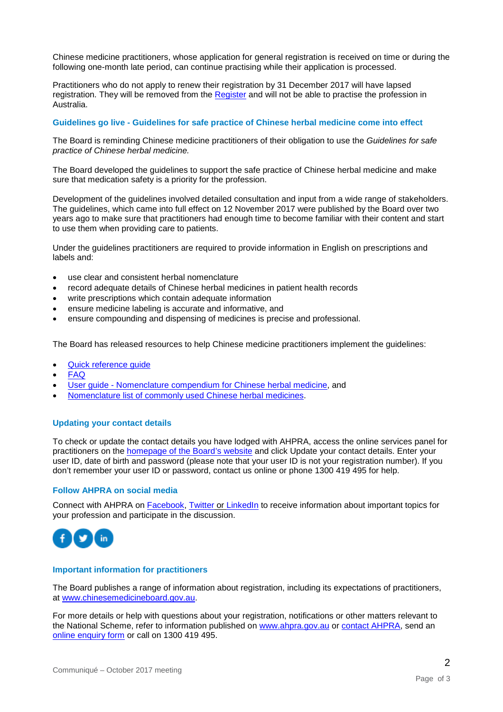Chinese medicine practitioners, whose application for general registration is received on time or during the following one-month late period, can continue practising while their application is processed.

Practitioners who do not apply to renew their registration by 31 December 2017 will have lapsed registration. They will be removed from the [Register](http://www.ahpra.gov.au/Registration/Registers-of-Practitioners.aspx) and will not be able to practise the profession in Australia.

#### **Guidelines go live - Guidelines for safe practice of Chinese herbal medicine come into effect**

The Board is reminding Chinese medicine practitioners of their obligation to use the *Guidelines for safe practice of Chinese herbal medicine.*

The Board developed the guidelines to support the safe practice of Chinese herbal medicine and make sure that medication safety is a priority for the profession.

Development of the guidelines involved detailed consultation and input from a wide range of stakeholders. The guidelines, which came into full effect on 12 November 2017 were published by the Board over two years ago to make sure that practitioners had enough time to become familiar with their content and start to use them when providing care to patients.

Under the guidelines practitioners are required to provide information in English on prescriptions and labels and:

- use clear and consistent herbal nomenclature
- record adequate details of Chinese herbal medicines in patient health records
- write prescriptions which contain adequate information
- ensure medicine labeling is accurate and informative, and
- ensure compounding and dispensing of medicines is precise and professional.

The Board has released resources to help Chinese medicine practitioners implement the guidelines:

- [Quick reference guide](http://www.chinesemedicineboard.gov.au/Codes-Guidelines/Guidelines-for-safe-practice.aspx)
- [FAQ](http://www.chinesemedicineboard.gov.au/Codes-Guidelines/FAQ.aspx)
- User guide [Nomenclature compendium for Chinese herbal medicine,](http://www.chinesemedicineboard.gov.au/Codes-Guidelines/Guidelines-for-safe-practice.aspx) and
- [Nomenclature list of commonly used Chinese herbal medicines.](http://www.chinesemedicineboard.gov.au/documents/default.aspx?record=WD15%2f18746&dbid=AP&chksum=Cs%2baCFhYVrzbzL2%2bYnhtRA%3d%3d)

# **Updating your contact details**

To check or update the contact details you have lodged with AHPRA, access the online services panel for practitioners on the [homepage of the Board's website](http://www.chinesemedicineboard.gov.au/) and click Update your contact details. Enter your user ID, date of birth and password (please note that your user ID is not your registration number). If you don't remember your user ID or password, contact us [online](http://www.ahpra.gov.au/About-AHPRA/Contact-Us.aspx) or phone 1300 419 495 for help.

#### **Follow AHPRA on social media**

Connect with AHPRA on [Facebook,](https://www.facebook.com/ahpra.gov.au/) [Twitter](https://twitter.com/AHPRA) or [LinkedIn](https://www.linkedin.com/company/australian-health-practitioner-regulation-agency) to receive information about important topics for your profession and participate in the discussion.



#### **Important information for practitioners**

The Board publishes a range of information about registration, including its expectations of practitioners, at [www.chinesemedicineboard.gov.au.](http://www.chinesemedicineboard.gov.au/)

For more details or help with questions about your registration, notifications or other matters relevant to the National Scheme, refer to information published on [www.ahpra.gov.au](http://www.ahpra.gov.au/) or [contact AHPRA,](http://www.ahpra.gov.au/About-AHPRA/Contact-Us.aspx) send an [online enquiry form](https://www.ahpra.gov.au/About-AHPRA/Contact-Us/Make-an-Enquiry.aspx) or call on 1300 419 495.

2